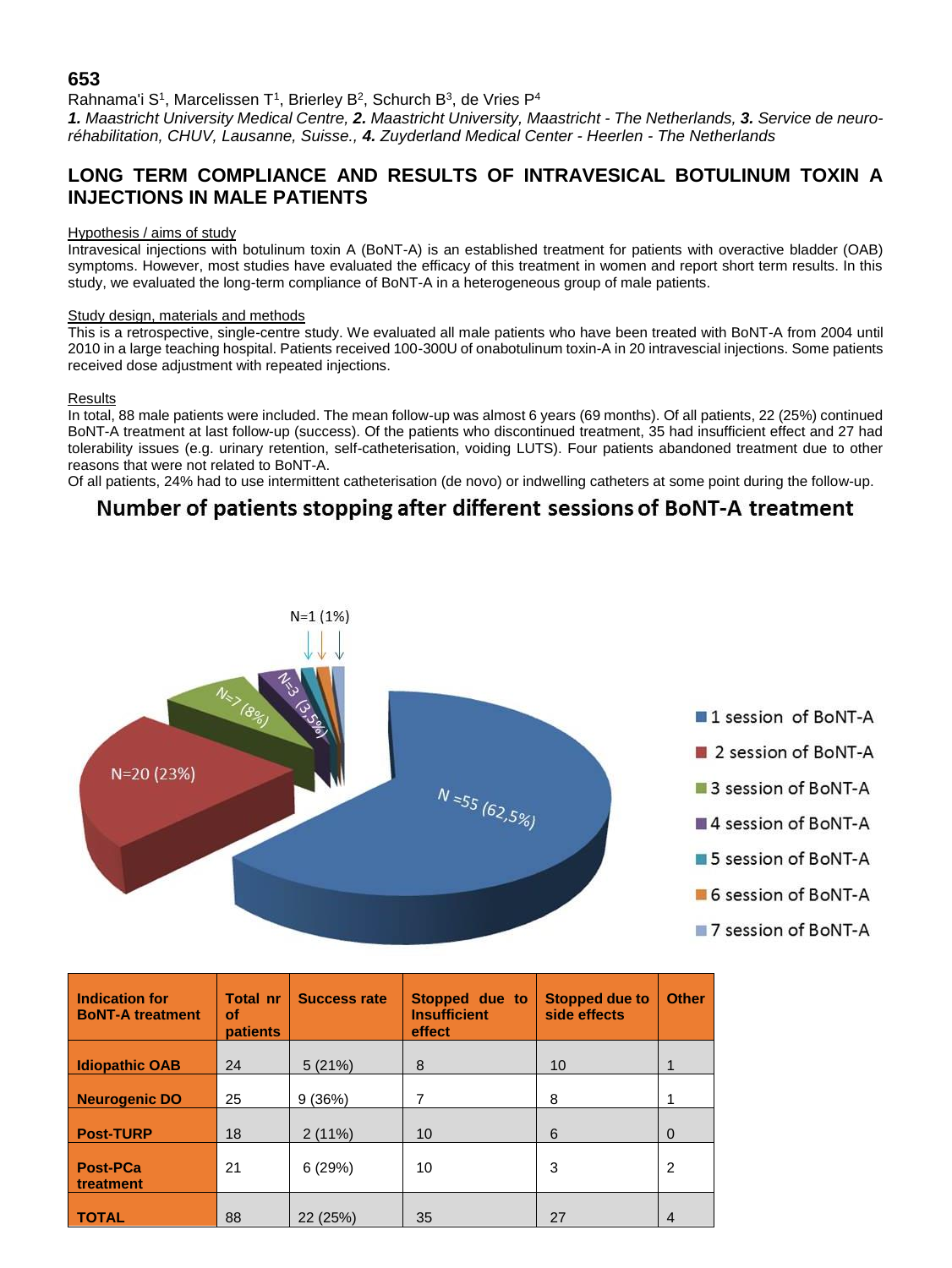## **653**

Rahnama'i S<sup>1</sup>, Marcelissen T<sup>1</sup>, Brierley B<sup>2</sup>, Schurch B<sup>3</sup>, de Vries P<sup>4</sup> *1. Maastricht University Medical Centre, 2. Maastricht University, Maastricht - The Netherlands, 3. Service de neuroréhabilitation, CHUV, Lausanne, Suisse., 4. Zuyderland Medical Center - Heerlen - The Netherlands*

## **LONG TERM COMPLIANCE AND RESULTS OF INTRAVESICAL BOTULINUM TOXIN A INJECTIONS IN MALE PATIENTS**

#### Hypothesis / aims of study

Intravesical injections with botulinum toxin A (BoNT-A) is an established treatment for patients with overactive bladder (OAB) symptoms. However, most studies have evaluated the efficacy of this treatment in women and report short term results. In this study, we evaluated the long-term compliance of BoNT-A in a heterogeneous group of male patients.

#### Study design, materials and methods

This is a retrospective, single-centre study. We evaluated all male patients who have been treated with BoNT-A from 2004 until 2010 in a large teaching hospital. Patients received 100-300U of onabotulinum toxin-A in 20 intravescial injections. Some patients received dose adjustment with repeated injections.

#### Results

In total, 88 male patients were included. The mean follow-up was almost 6 years (69 months). Of all patients, 22 (25%) continued BoNT-A treatment at last follow-up (success). Of the patients who discontinued treatment, 35 had insufficient effect and 27 had tolerability issues (e.g. urinary retention, self-catheterisation, voiding LUTS). Four patients abandoned treatment due to other reasons that were not related to BoNT-A.

Of all patients, 24% had to use intermittent catheterisation (de novo) or indwelling catheters at some point during the follow-up.

# Number of patients stopping after different sessions of BoNT-A treatment



| <b>Indication for</b><br><b>BoNT-A treatment</b> | <b>Total nr</b><br>οf<br><b>patients</b> | <b>Success rate</b> | Stopped due to<br><b>Insufficient</b><br>effect | <b>Stopped due to</b><br>side effects | <b>Other</b> |
|--------------------------------------------------|------------------------------------------|---------------------|-------------------------------------------------|---------------------------------------|--------------|
| <b>Idiopathic OAB</b>                            | 24                                       | 5(21%)              | 8                                               | 10                                    |              |
| <b>Neurogenic DO</b>                             | 25                                       | 9(36%)              | 7                                               | 8                                     |              |
| <b>Post-TURP</b>                                 | 18                                       | 2(11%)              | 10                                              | 6                                     | $\Omega$     |
| <b>Post-PCa</b><br>treatment                     | 21                                       | 6(29%)              | 10                                              | 3                                     | 2            |
| <b>TOTAL</b>                                     | 88                                       | 22 (25%)            | 35                                              | 27                                    | 4            |